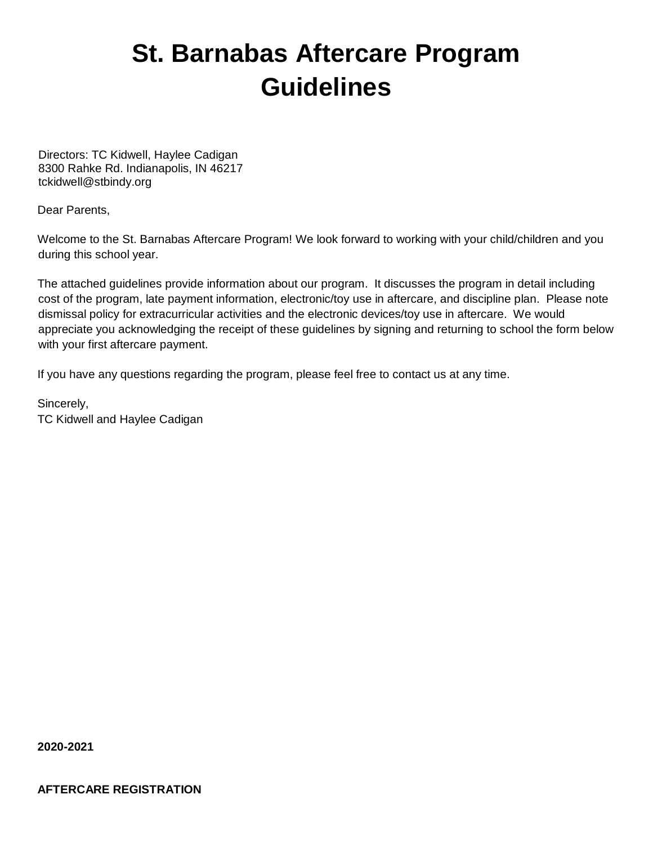# **St. Barnabas Aftercare Program Guidelines**

Directors: TC Kidwell, Haylee Cadigan 8300 Rahke Rd. Indianapolis, IN 46217 tckidwell@stbindy.org

Dear Parents,

Welcome to the St. Barnabas Aftercare Program! We look forward to working with your child/children and you during this school year.

The attached guidelines provide information about our program. It discusses the program in detail including cost of the program, late payment information, electronic/toy use in aftercare, and discipline plan. Please note dismissal policy for extracurricular activities and the electronic devices/toy use in aftercare. We would appreciate you acknowledging the receipt of these guidelines by signing and returning to school the form below with your first aftercare payment.

If you have any questions regarding the program, please feel free to contact us at any time.

Sincerely, TC Kidwell and Haylee Cadigan

**2020-2021**

**AFTERCARE REGISTRATION**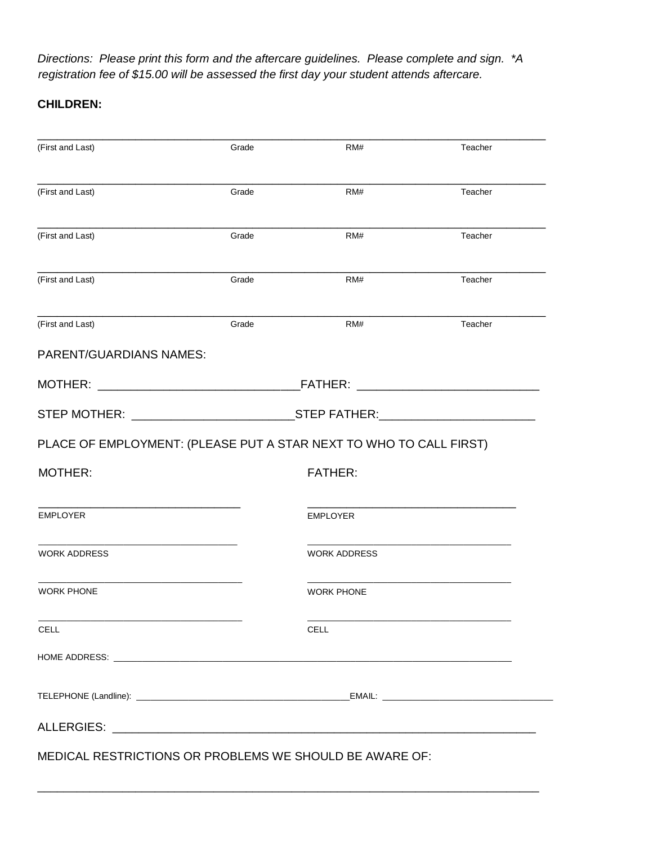*Directions: Please print this form and the aftercare guidelines. Please complete and sign. \*A registration fee of \$15.00 will be assessed the first day your student attends aftercare.*

## **CHILDREN:**

| (First and Last)                                                                                        | Grade                                                                            | RM#                 | Teacher |  |
|---------------------------------------------------------------------------------------------------------|----------------------------------------------------------------------------------|---------------------|---------|--|
| (First and Last)                                                                                        | Grade                                                                            | RM#                 | Teacher |  |
| (First and Last)                                                                                        | Grade                                                                            | RM#                 | Teacher |  |
| (First and Last)                                                                                        | Grade                                                                            | RM#                 | Teacher |  |
| (First and Last)                                                                                        | Grade                                                                            | RM#                 | Teacher |  |
| <b>PARENT/GUARDIANS NAMES:</b>                                                                          |                                                                                  |                     |         |  |
|                                                                                                         |                                                                                  |                     |         |  |
|                                                                                                         | STEP MOTHER: __________________________________STEP FATHER:_____________________ |                     |         |  |
|                                                                                                         |                                                                                  |                     |         |  |
|                                                                                                         |                                                                                  |                     |         |  |
|                                                                                                         |                                                                                  | <b>FATHER:</b>      |         |  |
| PLACE OF EMPLOYMENT: (PLEASE PUT A STAR NEXT TO WHO TO CALL FIRST)<br><b>MOTHER:</b><br><b>EMPLOYER</b> |                                                                                  | <b>EMPLOYER</b>     |         |  |
| <b>WORK ADDRESS</b>                                                                                     |                                                                                  | <b>WORK ADDRESS</b> |         |  |
| <b>WORK PHONE</b>                                                                                       |                                                                                  | <b>WORK PHONE</b>   |         |  |
|                                                                                                         |                                                                                  | CELL                |         |  |
| <b>CELL</b>                                                                                             |                                                                                  |                     |         |  |
|                                                                                                         |                                                                                  |                     |         |  |

\_\_\_\_\_\_\_\_\_\_\_\_\_\_\_\_\_\_\_\_\_\_\_\_\_\_\_\_\_\_\_\_\_\_\_\_\_\_\_\_\_\_\_\_\_\_\_\_\_\_\_\_\_\_\_\_\_\_\_\_\_\_\_\_\_\_\_\_\_\_\_\_\_\_\_\_\_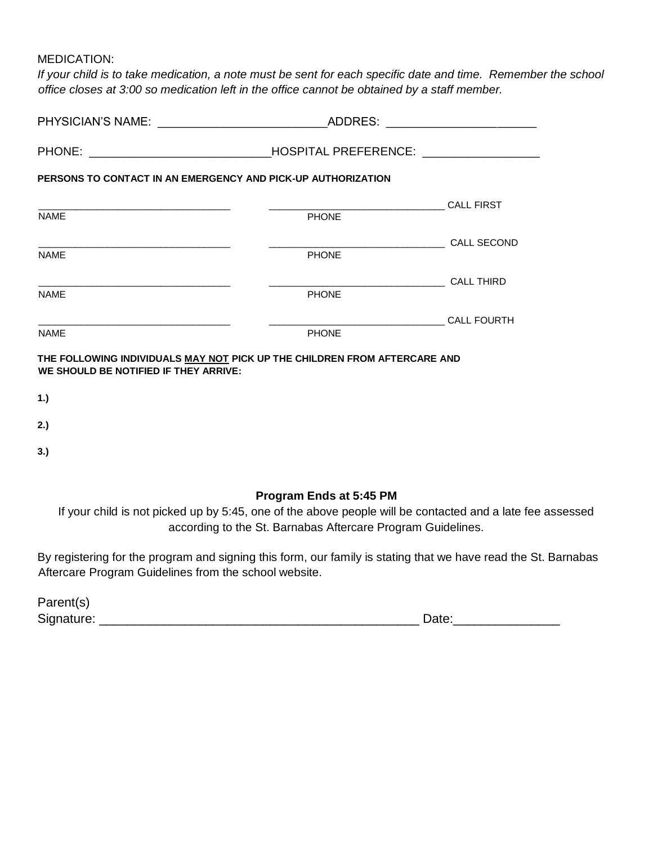MEDICATION:

*If your child is to take medication, a note must be sent for each specific date and time. Remember the school office closes at 3:00 so medication left in the office cannot be obtained by a staff member.* 

|                                                                                                                    |              | ADDRES: _______________________ |  |  |
|--------------------------------------------------------------------------------------------------------------------|--------------|---------------------------------|--|--|
|                                                                                                                    |              |                                 |  |  |
| PERSONS TO CONTACT IN AN EMERGENCY AND PICK-UP AUTHORIZATION                                                       |              |                                 |  |  |
| the control of the control of the control of the control of the control of the control of<br>NAME                  | <b>PHONE</b> |                                 |  |  |
| <b>NAME</b>                                                                                                        | <b>PHONE</b> |                                 |  |  |
| <b>NAME</b>                                                                                                        | <b>PHONE</b> |                                 |  |  |
| <b>NAME</b>                                                                                                        | <b>PHONE</b> | <b>CALL FOURTH</b>              |  |  |
| THE FOLLOWING INDIVIDUALS MAY NOT PICK UP THE CHILDREN FROM AFTERCARE AND<br>WE SHOULD BE NOTIFIED IF THEY ARRIVE: |              |                                 |  |  |
| 1.)                                                                                                                |              |                                 |  |  |
| 2.)                                                                                                                |              |                                 |  |  |
| 3.)                                                                                                                |              |                                 |  |  |

## **Program Ends at 5:45 PM**

If your child is not picked up by 5:45, one of the above people will be contacted and a late fee assessed according to the St. Barnabas Aftercare Program Guidelines.

By registering for the program and signing this form, our family is stating that we have read the St. Barnabas Aftercare Program Guidelines from the school website.

| Parent(s)  |       |
|------------|-------|
| Signature: | Date: |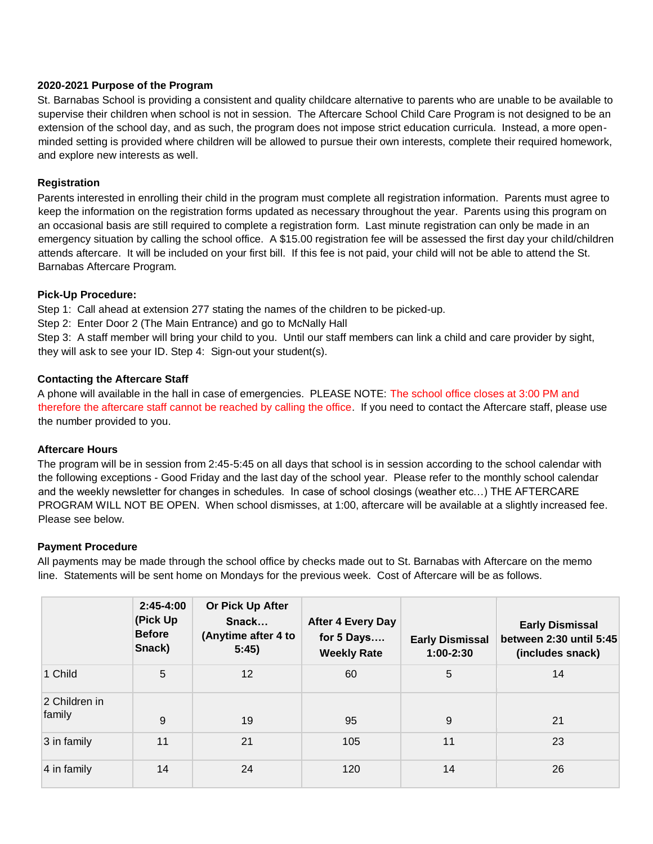## **2020-2021 Purpose of the Program**

St. Barnabas School is providing a consistent and quality childcare alternative to parents who are unable to be available to supervise their children when school is not in session. The Aftercare School Child Care Program is not designed to be an extension of the school day, and as such, the program does not impose strict education curricula. Instead, a more openminded setting is provided where children will be allowed to pursue their own interests, complete their required homework, and explore new interests as well.

#### **Registration**

Parents interested in enrolling their child in the program must complete all registration information. Parents must agree to keep the information on the registration forms updated as necessary throughout the year. Parents using this program on an occasional basis are still required to complete a registration form. Last minute registration can only be made in an emergency situation by calling the school office. A \$15.00 registration fee will be assessed the first day your child/children attends aftercare. It will be included on your first bill. If this fee is not paid, your child will not be able to attend the St. Barnabas Aftercare Program.

#### **Pick-Up Procedure:**

Step 1: Call ahead at extension 277 stating the names of the children to be picked-up.

Step 2: Enter Door 2 (The Main Entrance) and go to McNally Hall

Step 3: A staff member will bring your child to you. Until our staff members can link a child and care provider by sight, they will ask to see your ID. Step 4: Sign-out your student(s).

## **Contacting the Aftercare Staff**

A phone will available in the hall in case of emergencies. PLEASE NOTE: The school office closes at 3:00 PM and therefore the aftercare staff cannot be reached by calling the office. If you need to contact the Aftercare staff, please use the number provided to you.

## **Aftercare Hours**

The program will be in session from 2:45-5:45 on all days that school is in session according to the school calendar with the following exceptions - Good Friday and the last day of the school year. Please refer to the monthly school calendar and the weekly newsletter for changes in schedules. In case of school closings (weather etc…) THE AFTERCARE PROGRAM WILL NOT BE OPEN. When school dismisses, at 1:00, aftercare will be available at a slightly increased fee. Please see below.

#### **Payment Procedure**

All payments may be made through the school office by checks made out to St. Barnabas with Aftercare on the memo line. Statements will be sent home on Mondays for the previous week. Cost of Aftercare will be as follows.

|                         | $2:45 - 4:00$<br>(Pick Up<br><b>Before</b><br>Snack) | Or Pick Up After<br>Snack<br>(Anytime after 4 to<br>5:45) | After 4 Every Day<br>for 5 Days<br><b>Weekly Rate</b> | <b>Early Dismissal</b><br>$1:00 - 2:30$ | <b>Early Dismissal</b><br>between 2:30 until 5:45<br>(includes snack) |
|-------------------------|------------------------------------------------------|-----------------------------------------------------------|-------------------------------------------------------|-----------------------------------------|-----------------------------------------------------------------------|
| 1 Child                 | 5                                                    | 12                                                        | 60                                                    | 5                                       | 14                                                                    |
| 2 Children in<br>family | 9                                                    | 19                                                        | 95                                                    | 9                                       | 21                                                                    |
| 3 in family             | 11                                                   | 21                                                        | 105                                                   | 11                                      | 23                                                                    |
| 4 in family             | 14                                                   | 24                                                        | 120                                                   | 14                                      | 26                                                                    |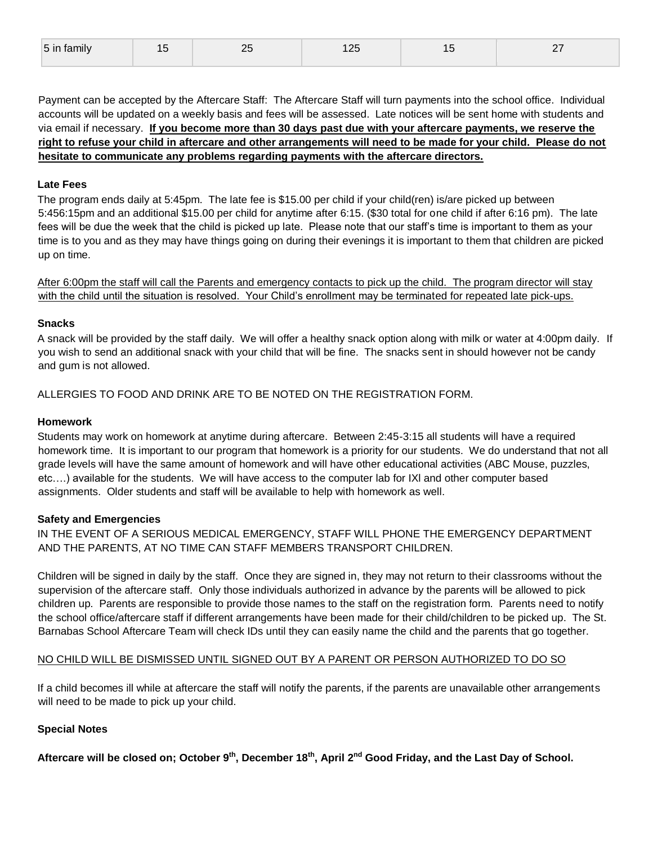| 5 in family | . .<br>י<br>$\sim$ | __ | ___ |  |
|-------------|--------------------|----|-----|--|
|             |                    |    |     |  |

Payment can be accepted by the Aftercare Staff: The Aftercare Staff will turn payments into the school office. Individual accounts will be updated on a weekly basis and fees will be assessed. Late notices will be sent home with students and via email if necessary. **If you become more than 30 days past due with your aftercare payments, we reserve the right to refuse your child in aftercare and other arrangements will need to be made for your child. Please do not hesitate to communicate any problems regarding payments with the aftercare directors.**

#### **Late Fees**

The program ends daily at 5:45pm. The late fee is \$15.00 per child if your child(ren) is/are picked up between 5:456:15pm and an additional \$15.00 per child for anytime after 6:15. (\$30 total for one child if after 6:16 pm). The late fees will be due the week that the child is picked up late. Please note that our staff's time is important to them as your time is to you and as they may have things going on during their evenings it is important to them that children are picked up on time.

After 6:00pm the staff will call the Parents and emergency contacts to pick up the child. The program director will stay with the child until the situation is resolved. Your Child's enrollment may be terminated for repeated late pick-ups.

#### **Snacks**

A snack will be provided by the staff daily. We will offer a healthy snack option along with milk or water at 4:00pm daily. If you wish to send an additional snack with your child that will be fine. The snacks sent in should however not be candy and gum is not allowed.

ALLERGIES TO FOOD AND DRINK ARE TO BE NOTED ON THE REGISTRATION FORM.

### **Homework**

Students may work on homework at anytime during aftercare. Between 2:45-3:15 all students will have a required homework time. It is important to our program that homework is a priority for our students. We do understand that not all grade levels will have the same amount of homework and will have other educational activities (ABC Mouse, puzzles, etc….) available for the students. We will have access to the computer lab for IXl and other computer based assignments. Older students and staff will be available to help with homework as well.

## **Safety and Emergencies**

IN THE EVENT OF A SERIOUS MEDICAL EMERGENCY, STAFF WILL PHONE THE EMERGENCY DEPARTMENT AND THE PARENTS, AT NO TIME CAN STAFF MEMBERS TRANSPORT CHILDREN.

Children will be signed in daily by the staff. Once they are signed in, they may not return to their classrooms without the supervision of the aftercare staff. Only those individuals authorized in advance by the parents will be allowed to pick children up. Parents are responsible to provide those names to the staff on the registration form. Parents need to notify the school office/aftercare staff if different arrangements have been made for their child/children to be picked up. The St. Barnabas School Aftercare Team will check IDs until they can easily name the child and the parents that go together.

## NO CHILD WILL BE DISMISSED UNTIL SIGNED OUT BY A PARENT OR PERSON AUTHORIZED TO DO SO

If a child becomes ill while at aftercare the staff will notify the parents, if the parents are unavailable other arrangements will need to be made to pick up your child.

## **Special Notes**

**Aftercare will be closed on; October 9 th, December 18th , April 2nd Good Friday, and the Last Day of School.**